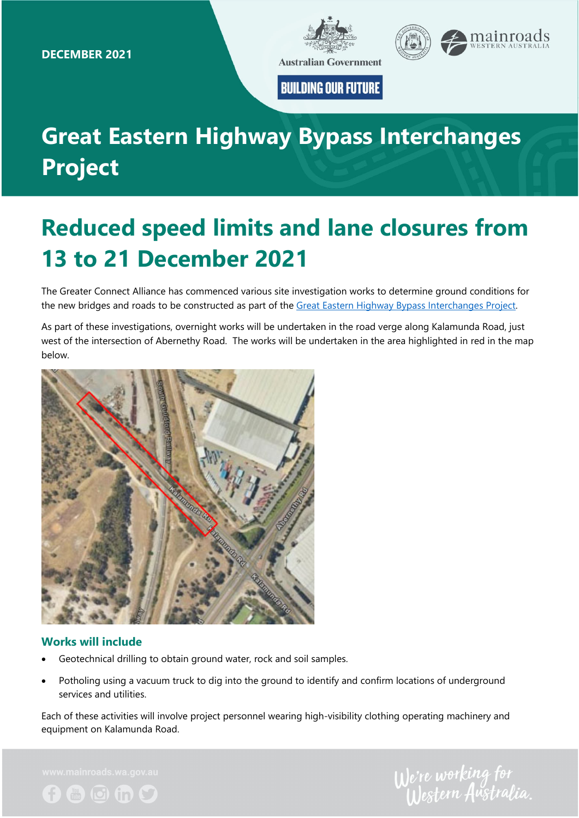

**BUILDING OUR FUTURE** 

# **Great Eastern Highway Bypass Interchanges Project**

# **Reduced speed limits and lane closures from 13 to 21 December 2021**

The Greater Connect Alliance has commenced various site investigation works to determine ground conditions for the new bridges and roads to be constructed as part of the Great Eastern Highway Bypass Interchanges Project.

As part of these investigations, overnight works will be undertaken in the road verge along Kalamunda Road, just west of the intersection of Abernethy Road. The works will be undertaken in the area highlighted in red in the map below.



### **Works will include**

- Geotechnical drilling to obtain ground water, rock and soil samples.
- Potholing using a vacuum truck to dig into the ground to identify and confirm locations of underground services and utilities.

Each of these activities will involve project personnel wearing high-visibility clothing operating machinery and equipment on Kalamunda Road.